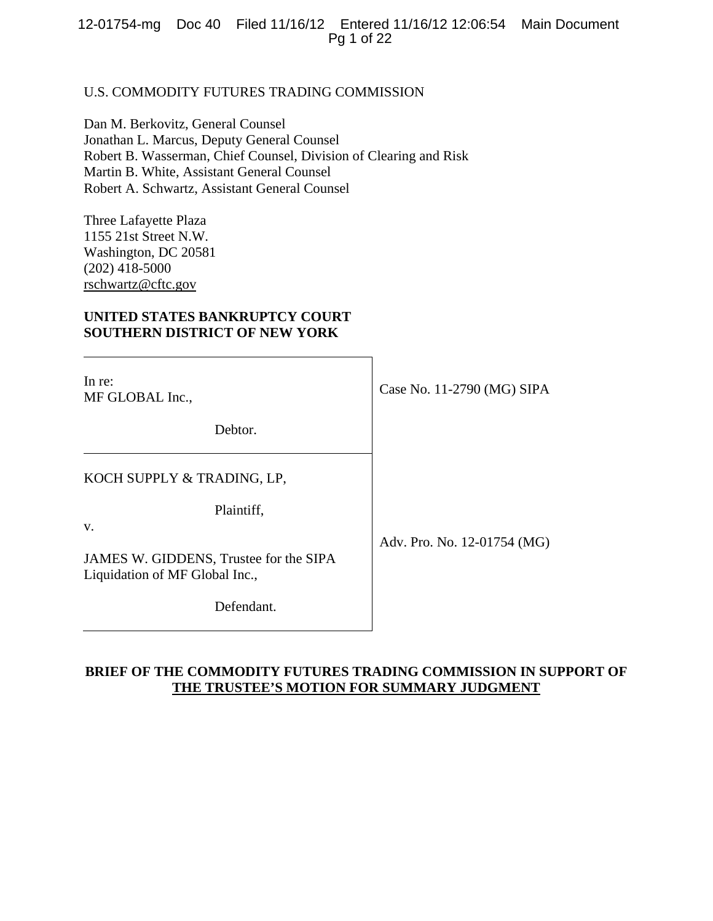12-01754-mg Doc 40 Filed 11/16/12 Entered 11/16/12 12:06:54 Main Document Pg 1 of 22

# U.S. COMMODITY FUTURES TRADING COMMISSION

Dan M. Berkovitz, General Counsel Jonathan L. Marcus, Deputy General Counsel Robert B. Wasserman, Chief Counsel, Division of Clearing and Risk Martin B. White, Assistant General Counsel Robert A. Schwartz, Assistant General Counsel

Three Lafayette Plaza 1155 21st Street N.W. Washington, DC 20581 (202) 418-5000 rschwartz@cftc.gov

# **UNITED STATES BANKRUPTCY COURT SOUTHERN DISTRICT OF NEW YORK**

| In re:<br>MF GLOBAL Inc.,                                                | Case No. 11-2790 (MG) SIPA  |
|--------------------------------------------------------------------------|-----------------------------|
| Debtor.                                                                  |                             |
| KOCH SUPPLY & TRADING, LP,                                               |                             |
| Plaintiff,<br>v.                                                         |                             |
| JAMES W. GIDDENS, Trustee for the SIPA<br>Liquidation of MF Global Inc., | Adv. Pro. No. 12-01754 (MG) |
| Defendant.                                                               |                             |

# **BRIEF OF THE COMMODITY FUTURES TRADING COMMISSION IN SUPPORT OF THE TRUSTEE'S MOTION FOR SUMMARY JUDGMENT**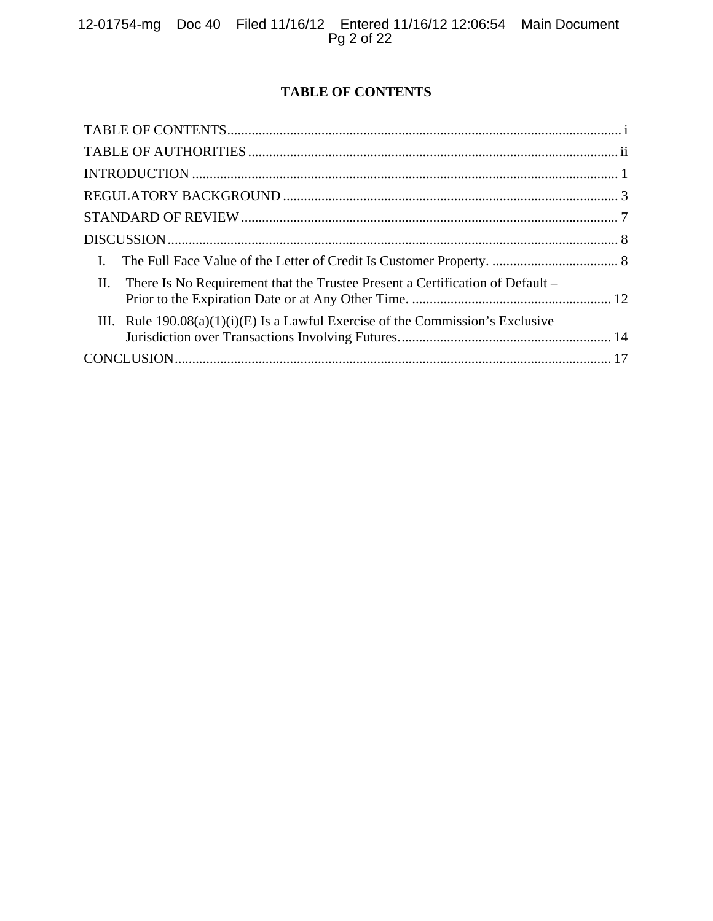# **TABLE OF CONTENTS**

| $\mathbf{I}$ .                                                                       |  |
|--------------------------------------------------------------------------------------|--|
| II.<br>There Is No Requirement that the Trustee Present a Certification of Default – |  |
| III. Rule $190.08(a)(1)(i)(E)$ Is a Lawful Exercise of the Commission's Exclusive    |  |
|                                                                                      |  |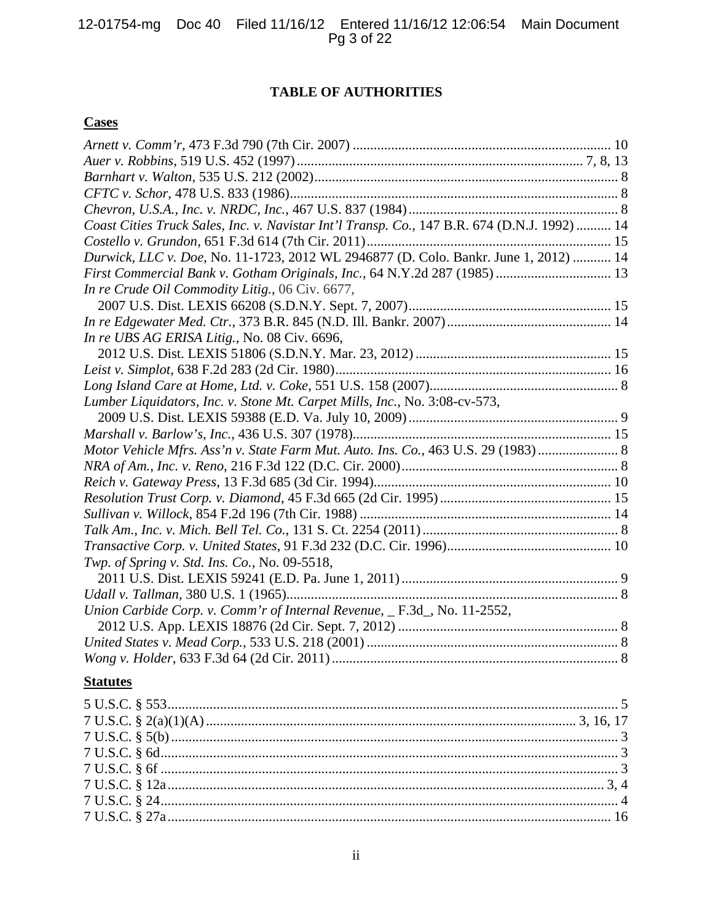# **TABLE OF AUTHORITIES**

# **Cases**

| Coast Cities Truck Sales, Inc. v. Navistar Int'l Transp. Co., 147 B.R. 674 (D.N.J. 1992)  14 |  |
|----------------------------------------------------------------------------------------------|--|
|                                                                                              |  |
| Durwick, LLC v. Doe, No. 11-1723, 2012 WL 2946877 (D. Colo. Bankr. June 1, 2012)  14         |  |
| First Commercial Bank v. Gotham Originals, Inc., 64 N.Y.2d 287 (1985)  13                    |  |
| In re Crude Oil Commodity Litig., 06 Civ. 6677,                                              |  |
|                                                                                              |  |
|                                                                                              |  |
| In re UBS AG ERISA Litig., No. 08 Civ. 6696,                                                 |  |
|                                                                                              |  |
|                                                                                              |  |
|                                                                                              |  |
| Lumber Liquidators, Inc. v. Stone Mt. Carpet Mills, Inc., No. 3:08-cv-573,                   |  |
|                                                                                              |  |
|                                                                                              |  |
| Motor Vehicle Mfrs. Ass'n v. State Farm Mut. Auto. Ins. Co., 463 U.S. 29 (1983)  8           |  |
|                                                                                              |  |
|                                                                                              |  |
|                                                                                              |  |
|                                                                                              |  |
|                                                                                              |  |
|                                                                                              |  |
| Twp. of Spring v. Std. Ins. Co., No. 09-5518,                                                |  |
|                                                                                              |  |
|                                                                                              |  |
| Union Carbide Corp. v. Comm'r of Internal Revenue, _ F.3d_, No. 11-2552,                     |  |
|                                                                                              |  |
|                                                                                              |  |
|                                                                                              |  |
| <b>Statutes</b>                                                                              |  |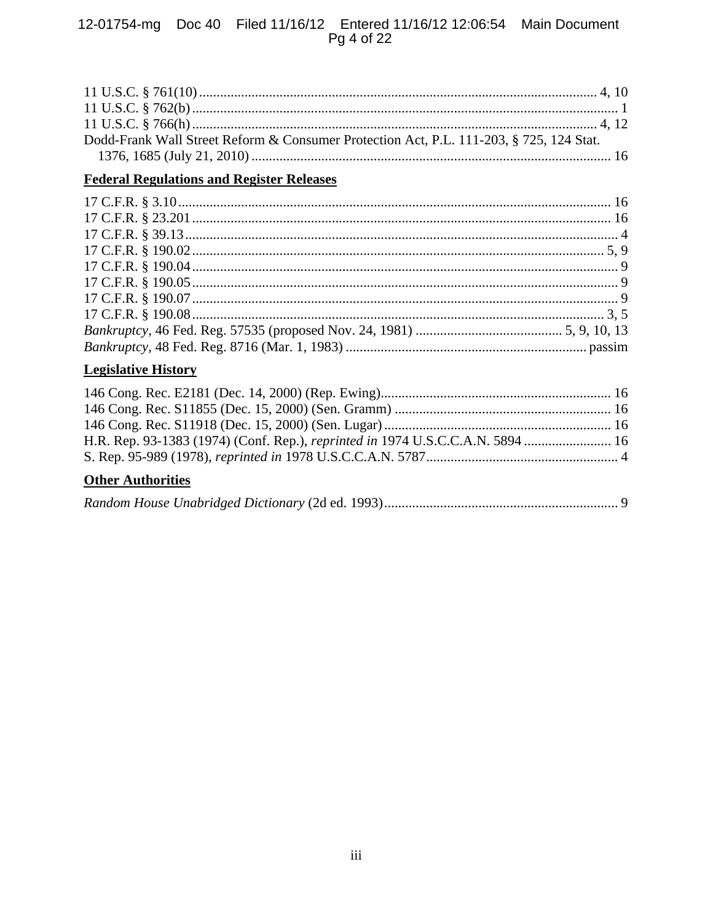# 12-01754-mg Doc 40 Filed 11/16/12 Entered 11/16/12 12:06:54 Main Document<br>Pg 4 of 22

| Dodd-Frank Wall Street Reform & Consumer Protection Act, P.L. 111-203, § 725, 124 Stat. |  |
|-----------------------------------------------------------------------------------------|--|
|                                                                                         |  |

# **Federal Regulations and Register Releases**

# **Legislative History**

# **Other Authorities**

|--|--|--|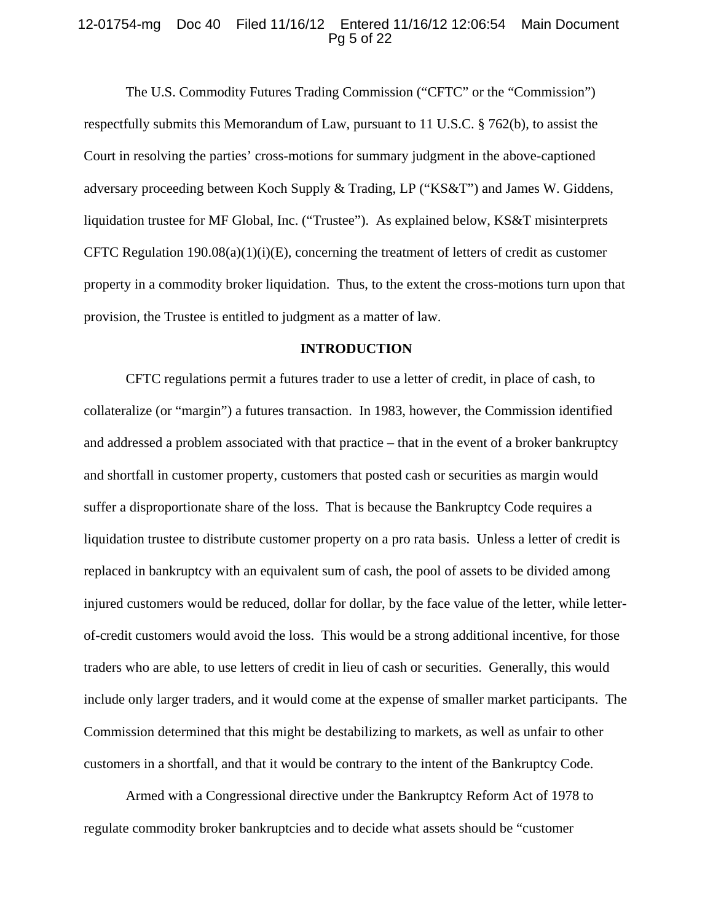## 12-01754-mg Doc 40 Filed 11/16/12 Entered 11/16/12 12:06:54 Main Document Pg 5 of 22

 The U.S. Commodity Futures Trading Commission ("CFTC" or the "Commission") respectfully submits this Memorandum of Law, pursuant to 11 U.S.C. § 762(b), to assist the Court in resolving the parties' cross-motions for summary judgment in the above-captioned adversary proceeding between Koch Supply & Trading, LP ("KS&T") and James W. Giddens, liquidation trustee for MF Global, Inc. ("Trustee"). As explained below, KS&T misinterprets CFTC Regulation  $190.08(a)(1)(i)(E)$ , concerning the treatment of letters of credit as customer property in a commodity broker liquidation. Thus, to the extent the cross-motions turn upon that provision, the Trustee is entitled to judgment as a matter of law.

#### **INTRODUCTION**

CFTC regulations permit a futures trader to use a letter of credit, in place of cash, to collateralize (or "margin") a futures transaction. In 1983, however, the Commission identified and addressed a problem associated with that practice – that in the event of a broker bankruptcy and shortfall in customer property, customers that posted cash or securities as margin would suffer a disproportionate share of the loss. That is because the Bankruptcy Code requires a liquidation trustee to distribute customer property on a pro rata basis. Unless a letter of credit is replaced in bankruptcy with an equivalent sum of cash, the pool of assets to be divided among injured customers would be reduced, dollar for dollar, by the face value of the letter, while letterof-credit customers would avoid the loss. This would be a strong additional incentive, for those traders who are able, to use letters of credit in lieu of cash or securities. Generally, this would include only larger traders, and it would come at the expense of smaller market participants. The Commission determined that this might be destabilizing to markets, as well as unfair to other customers in a shortfall, and that it would be contrary to the intent of the Bankruptcy Code.

Armed with a Congressional directive under the Bankruptcy Reform Act of 1978 to regulate commodity broker bankruptcies and to decide what assets should be "customer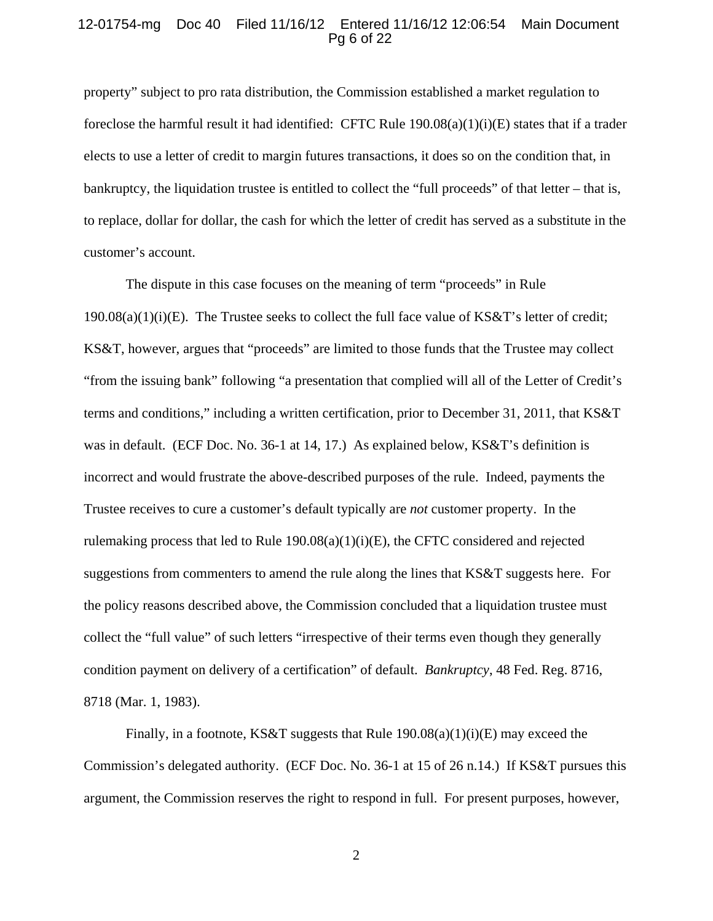## 12-01754-mg Doc 40 Filed 11/16/12 Entered 11/16/12 12:06:54 Main Document Pg 6 of 22

property" subject to pro rata distribution, the Commission established a market regulation to foreclose the harmful result it had identified: CFTC Rule 190.08(a)(1)(i)(E) states that if a trader elects to use a letter of credit to margin futures transactions, it does so on the condition that, in bankruptcy, the liquidation trustee is entitled to collect the "full proceeds" of that letter – that is, to replace, dollar for dollar, the cash for which the letter of credit has served as a substitute in the customer's account.

The dispute in this case focuses on the meaning of term "proceeds" in Rule  $190.08(a)(1)(i)(E)$ . The Trustee seeks to collect the full face value of KS&T's letter of credit; KS&T, however, argues that "proceeds" are limited to those funds that the Trustee may collect "from the issuing bank" following "a presentation that complied will all of the Letter of Credit's terms and conditions," including a written certification, prior to December 31, 2011, that KS&T was in default. (ECF Doc. No. 36-1 at 14, 17.) As explained below, KS&T's definition is incorrect and would frustrate the above-described purposes of the rule. Indeed, payments the Trustee receives to cure a customer's default typically are *not* customer property. In the rulemaking process that led to Rule 190.08(a)(1)(i)(E), the CFTC considered and rejected suggestions from commenters to amend the rule along the lines that KS&T suggests here. For the policy reasons described above, the Commission concluded that a liquidation trustee must collect the "full value" of such letters "irrespective of their terms even though they generally condition payment on delivery of a certification" of default. *Bankruptcy*, 48 Fed. Reg. 8716, 8718 (Mar. 1, 1983).

Finally, in a footnote, KS&T suggests that Rule  $190.08(a)(1)(i)(E)$  may exceed the Commission's delegated authority. (ECF Doc. No. 36-1 at 15 of 26 n.14.) If KS&T pursues this argument, the Commission reserves the right to respond in full. For present purposes, however,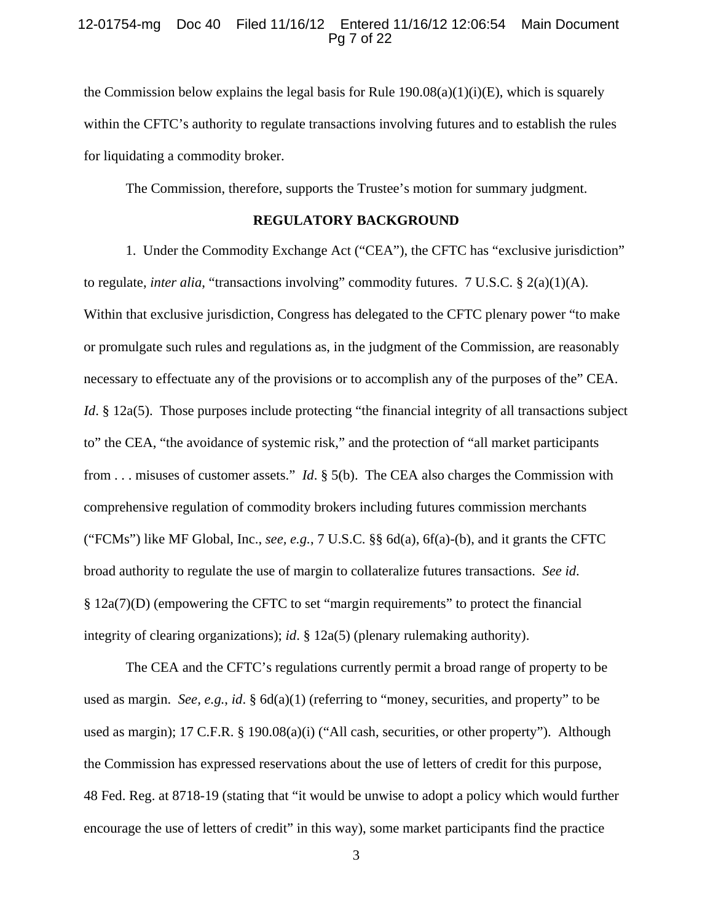## 12-01754-mg Doc 40 Filed 11/16/12 Entered 11/16/12 12:06:54 Main Document Pg 7 of 22

the Commission below explains the legal basis for Rule  $190.08(a)(1)(i)(E)$ , which is squarely within the CFTC's authority to regulate transactions involving futures and to establish the rules for liquidating a commodity broker.

The Commission, therefore, supports the Trustee's motion for summary judgment.

# **REGULATORY BACKGROUND**

 1. Under the Commodity Exchange Act ("CEA"), the CFTC has "exclusive jurisdiction" to regulate, *inter alia*, "transactions involving" commodity futures. 7 U.S.C. § 2(a)(1)(A). Within that exclusive jurisdiction, Congress has delegated to the CFTC plenary power "to make or promulgate such rules and regulations as, in the judgment of the Commission, are reasonably necessary to effectuate any of the provisions or to accomplish any of the purposes of the" CEA. *Id*. § 12a(5). Those purposes include protecting "the financial integrity of all transactions subject to" the CEA, "the avoidance of systemic risk," and the protection of "all market participants from . . . misuses of customer assets." *Id*. § 5(b). The CEA also charges the Commission with comprehensive regulation of commodity brokers including futures commission merchants ("FCMs") like MF Global, Inc., *see, e.g.*, 7 U.S.C. §§ 6d(a), 6f(a)-(b), and it grants the CFTC broad authority to regulate the use of margin to collateralize futures transactions. *See id*. § 12a(7)(D) (empowering the CFTC to set "margin requirements" to protect the financial integrity of clearing organizations); *id*. § 12a(5) (plenary rulemaking authority).

The CEA and the CFTC's regulations currently permit a broad range of property to be used as margin. *See, e.g.*, *id*. § 6d(a)(1) (referring to "money, securities, and property" to be used as margin); 17 C.F.R. § 190.08(a)(i) ("All cash, securities, or other property"). Although the Commission has expressed reservations about the use of letters of credit for this purpose, 48 Fed. Reg. at 8718-19 (stating that "it would be unwise to adopt a policy which would further encourage the use of letters of credit" in this way), some market participants find the practice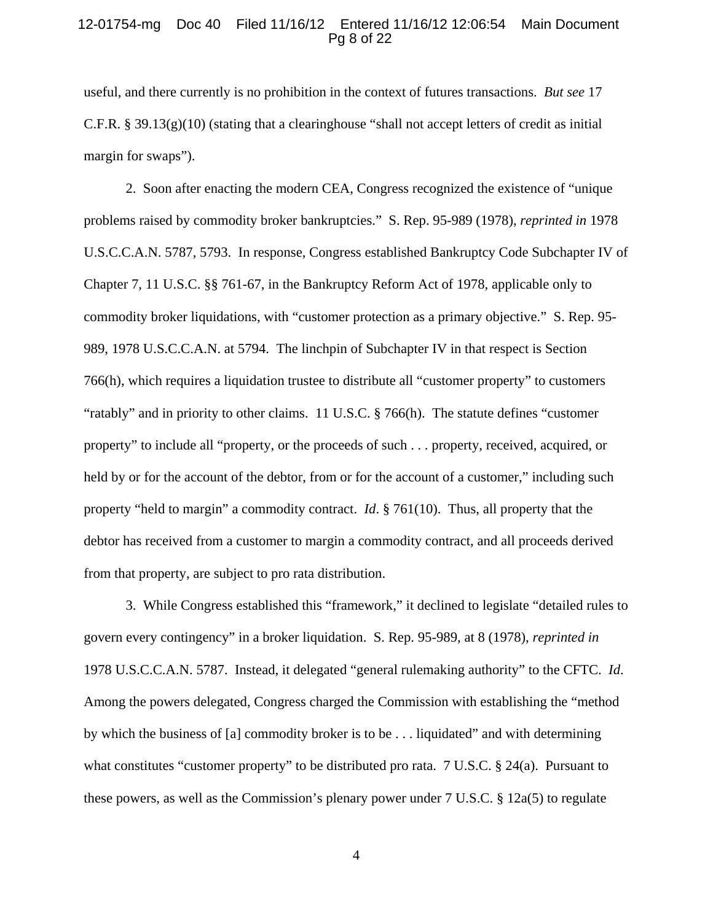#### 12-01754-mg Doc 40 Filed 11/16/12 Entered 11/16/12 12:06:54 Main Document Pg 8 of 22

useful, and there currently is no prohibition in the context of futures transactions. *But see* 17 C.F.R. § 39.13(g)(10) (stating that a clearinghouse "shall not accept letters of credit as initial margin for swaps").

2. Soon after enacting the modern CEA, Congress recognized the existence of "unique problems raised by commodity broker bankruptcies." S. Rep. 95-989 (1978), *reprinted in* 1978 U.S.C.C.A.N. 5787, 5793. In response, Congress established Bankruptcy Code Subchapter IV of Chapter 7, 11 U.S.C. §§ 761-67, in the Bankruptcy Reform Act of 1978, applicable only to commodity broker liquidations, with "customer protection as a primary objective." S. Rep. 95- 989, 1978 U.S.C.C.A.N. at 5794. The linchpin of Subchapter IV in that respect is Section 766(h), which requires a liquidation trustee to distribute all "customer property" to customers "ratably" and in priority to other claims. 11 U.S.C. § 766(h). The statute defines "customer property" to include all "property, or the proceeds of such . . . property, received, acquired, or held by or for the account of the debtor, from or for the account of a customer," including such property "held to margin" a commodity contract. *Id*. § 761(10). Thus, all property that the debtor has received from a customer to margin a commodity contract, and all proceeds derived from that property, are subject to pro rata distribution.

3. While Congress established this "framework," it declined to legislate "detailed rules to govern every contingency" in a broker liquidation. S. Rep. 95-989, at 8 (1978), *reprinted in*  1978 U.S.C.C.A.N. 5787. Instead, it delegated "general rulemaking authority" to the CFTC. *Id*. Among the powers delegated, Congress charged the Commission with establishing the "method by which the business of [a] commodity broker is to be . . . liquidated" and with determining what constitutes "customer property" to be distributed pro rata. 7 U.S.C. § 24(a). Pursuant to these powers, as well as the Commission's plenary power under 7 U.S.C. § 12a(5) to regulate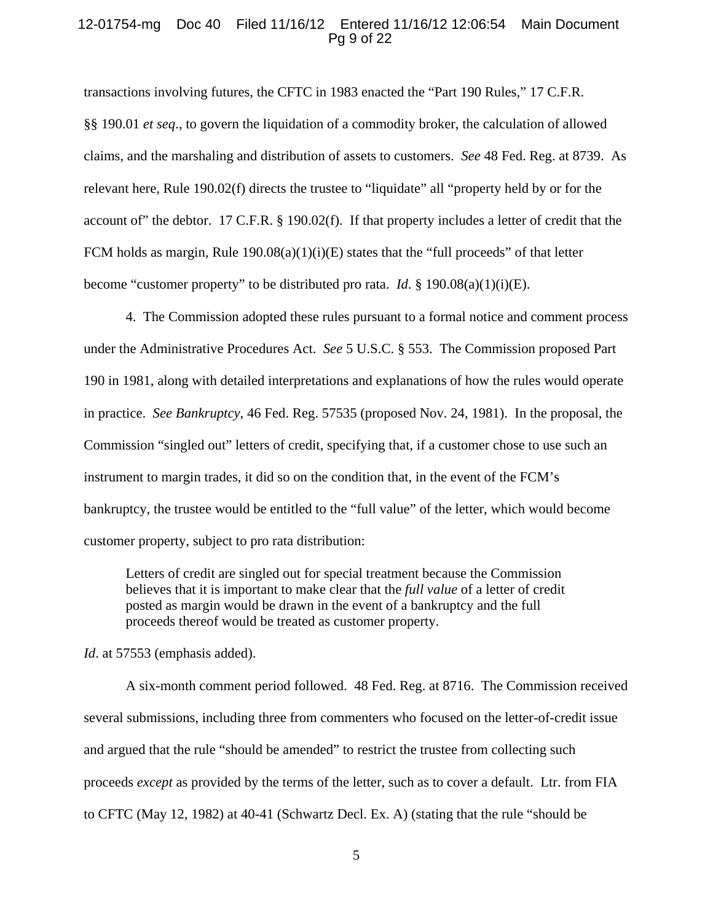#### 12-01754-mg Doc 40 Filed 11/16/12 Entered 11/16/12 12:06:54 Main Document Pg 9 of 22

transactions involving futures, the CFTC in 1983 enacted the "Part 190 Rules," 17 C.F.R. §§ 190.01 *et seq*., to govern the liquidation of a commodity broker, the calculation of allowed claims, and the marshaling and distribution of assets to customers. *See* 48 Fed. Reg. at 8739. As relevant here, Rule 190.02(f) directs the trustee to "liquidate" all "property held by or for the account of" the debtor. 17 C.F.R. § 190.02(f). If that property includes a letter of credit that the FCM holds as margin, Rule  $190.08(a)(1)(i)(E)$  states that the "full proceeds" of that letter become "customer property" to be distributed pro rata. *Id*. § 190.08(a)(1)(i)(E).

4. The Commission adopted these rules pursuant to a formal notice and comment process under the Administrative Procedures Act. *See* 5 U.S.C. § 553. The Commission proposed Part 190 in 1981, along with detailed interpretations and explanations of how the rules would operate in practice. *See Bankruptcy*, 46 Fed. Reg. 57535 (proposed Nov. 24, 1981). In the proposal, the Commission "singled out" letters of credit, specifying that, if a customer chose to use such an instrument to margin trades, it did so on the condition that, in the event of the FCM's bankruptcy, the trustee would be entitled to the "full value" of the letter, which would become customer property, subject to pro rata distribution:

Letters of credit are singled out for special treatment because the Commission believes that it is important to make clear that the *full value* of a letter of credit posted as margin would be drawn in the event of a bankruptcy and the full proceeds thereof would be treated as customer property.

*Id.* at 57553 (emphasis added).

 A six-month comment period followed. 48 Fed. Reg. at 8716. The Commission received several submissions, including three from commenters who focused on the letter-of-credit issue and argued that the rule "should be amended" to restrict the trustee from collecting such proceeds *except* as provided by the terms of the letter, such as to cover a default. Ltr. from FIA to CFTC (May 12, 1982) at 40-41 (Schwartz Decl. Ex. A) (stating that the rule "should be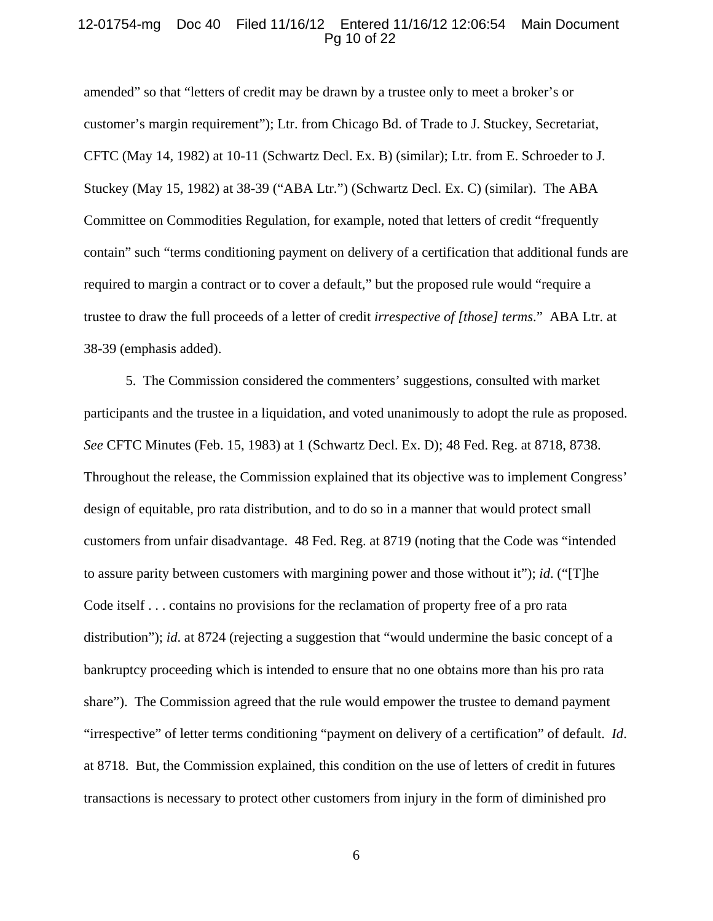## 12-01754-mg Doc 40 Filed 11/16/12 Entered 11/16/12 12:06:54 Main Document Pg 10 of 22

amended" so that "letters of credit may be drawn by a trustee only to meet a broker's or customer's margin requirement"); Ltr. from Chicago Bd. of Trade to J. Stuckey, Secretariat, CFTC (May 14, 1982) at 10-11 (Schwartz Decl. Ex. B) (similar); Ltr. from E. Schroeder to J. Stuckey (May 15, 1982) at 38-39 ("ABA Ltr.") (Schwartz Decl. Ex. C) (similar). The ABA Committee on Commodities Regulation, for example, noted that letters of credit "frequently contain" such "terms conditioning payment on delivery of a certification that additional funds are required to margin a contract or to cover a default," but the proposed rule would "require a trustee to draw the full proceeds of a letter of credit *irrespective of [those] terms*." ABA Ltr. at 38-39 (emphasis added).

 5. The Commission considered the commenters' suggestions, consulted with market participants and the trustee in a liquidation, and voted unanimously to adopt the rule as proposed. *See* CFTC Minutes (Feb. 15, 1983) at 1 (Schwartz Decl. Ex. D); 48 Fed. Reg. at 8718, 8738. Throughout the release, the Commission explained that its objective was to implement Congress' design of equitable, pro rata distribution, and to do so in a manner that would protect small customers from unfair disadvantage. 48 Fed. Reg. at 8719 (noting that the Code was "intended to assure parity between customers with margining power and those without it"); *id*. ("[T]he Code itself . . . contains no provisions for the reclamation of property free of a pro rata distribution"); *id*. at 8724 (rejecting a suggestion that "would undermine the basic concept of a bankruptcy proceeding which is intended to ensure that no one obtains more than his pro rata share"). The Commission agreed that the rule would empower the trustee to demand payment "irrespective" of letter terms conditioning "payment on delivery of a certification" of default. *Id*. at 8718. But, the Commission explained, this condition on the use of letters of credit in futures transactions is necessary to protect other customers from injury in the form of diminished pro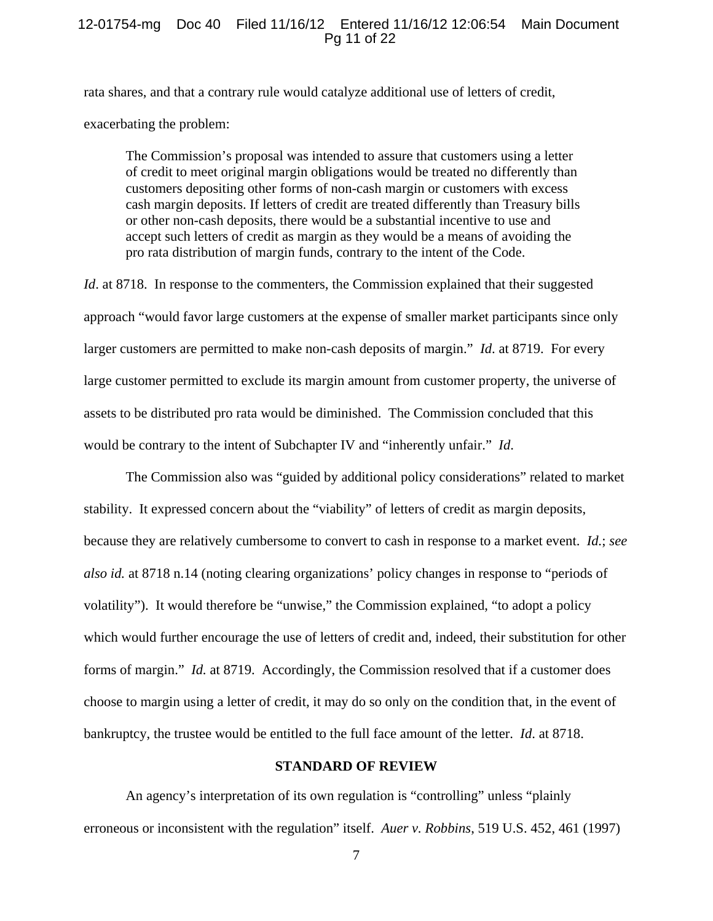#### 12-01754-mg Doc 40 Filed 11/16/12 Entered 11/16/12 12:06:54 Main Document Pg 11 of 22

rata shares, and that a contrary rule would catalyze additional use of letters of credit, exacerbating the problem:

The Commission's proposal was intended to assure that customers using a letter of credit to meet original margin obligations would be treated no differently than customers depositing other forms of non-cash margin or customers with excess cash margin deposits. If letters of credit are treated differently than Treasury bills or other non-cash deposits, there would be a substantial incentive to use and accept such letters of credit as margin as they would be a means of avoiding the pro rata distribution of margin funds, contrary to the intent of the Code.

*Id.* at 8718. In response to the commenters, the Commission explained that their suggested approach "would favor large customers at the expense of smaller market participants since only larger customers are permitted to make non-cash deposits of margin." *Id*. at 8719. For every large customer permitted to exclude its margin amount from customer property, the universe of assets to be distributed pro rata would be diminished. The Commission concluded that this would be contrary to the intent of Subchapter IV and "inherently unfair." *Id*.

 The Commission also was "guided by additional policy considerations" related to market stability. It expressed concern about the "viability" of letters of credit as margin deposits, because they are relatively cumbersome to convert to cash in response to a market event. *Id.*; *see also id.* at 8718 n.14 (noting clearing organizations' policy changes in response to "periods of volatility"). It would therefore be "unwise," the Commission explained, "to adopt a policy which would further encourage the use of letters of credit and, indeed, their substitution for other forms of margin." *Id.* at 8719. Accordingly, the Commission resolved that if a customer does choose to margin using a letter of credit, it may do so only on the condition that, in the event of bankruptcy, the trustee would be entitled to the full face amount of the letter. *Id*. at 8718.

#### **STANDARD OF REVIEW**

 An agency's interpretation of its own regulation is "controlling" unless "plainly erroneous or inconsistent with the regulation" itself. *Auer v. Robbins*, 519 U.S. 452, 461 (1997)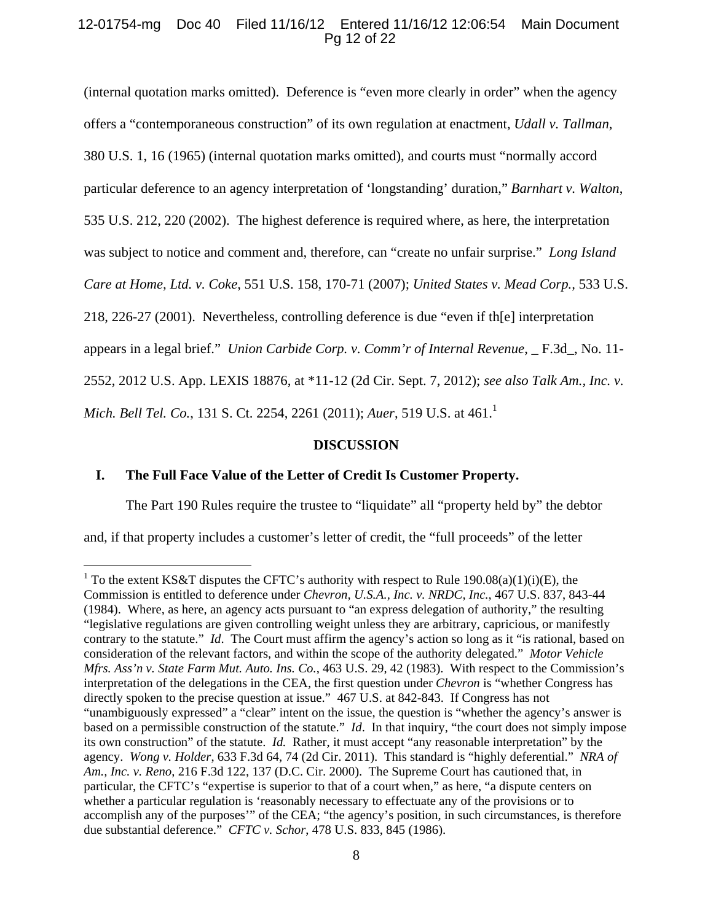# 12-01754-mg Doc 40 Filed 11/16/12 Entered 11/16/12 12:06:54 Main Document Pg 12 of 22

(internal quotation marks omitted). Deference is "even more clearly in order" when the agency offers a "contemporaneous construction" of its own regulation at enactment, *Udall v. Tallman*, 380 U.S. 1, 16 (1965) (internal quotation marks omitted), and courts must "normally accord particular deference to an agency interpretation of 'longstanding' duration," *Barnhart v. Walton*, 535 U.S. 212, 220 (2002). The highest deference is required where, as here, the interpretation was subject to notice and comment and, therefore, can "create no unfair surprise." *Long Island Care at Home, Ltd. v. Coke*, 551 U.S. 158, 170-71 (2007); *United States v. Mead Corp.,* 533 U.S. 218, 226-27 (2001). Nevertheless, controlling deference is due "even if th[e] interpretation appears in a legal brief." *Union Carbide Corp. v. Comm'r of Internal Revenue*, \_ F.3d\_, No. 11- 2552, 2012 U.S. App. LEXIS 18876, at \*11-12 (2d Cir. Sept. 7, 2012); *see also Talk Am., Inc. v. Mich. Bell Tel. Co.,* 131 S. Ct. 2254, 2261 (2011); *Auer*, 519 U.S. at 461.<sup>1</sup>

#### **DISCUSSION**

# **I. The Full Face Value of the Letter of Credit Is Customer Property.**

 $\overline{a}$ 

The Part 190 Rules require the trustee to "liquidate" all "property held by" the debtor

and, if that property includes a customer's letter of credit, the "full proceeds" of the letter

<sup>&</sup>lt;sup>1</sup> To the extent KS&T disputes the CFTC's authority with respect to Rule 190.08(a)(1)(i)(E), the Commission is entitled to deference under *Chevron, U.S.A., Inc. v. NRDC, Inc.*, 467 U.S. 837, 843-44 (1984). Where, as here, an agency acts pursuant to "an express delegation of authority," the resulting "legislative regulations are given controlling weight unless they are arbitrary, capricious, or manifestly contrary to the statute." *Id*. The Court must affirm the agency's action so long as it "is rational, based on consideration of the relevant factors, and within the scope of the authority delegated." *Motor Vehicle Mfrs. Ass'n v. State Farm Mut. Auto. Ins. Co.*, 463 U.S. 29, 42 (1983). With respect to the Commission's interpretation of the delegations in the CEA, the first question under *Chevron* is "whether Congress has directly spoken to the precise question at issue." 467 U.S. at 842-843. If Congress has not "unambiguously expressed" a "clear" intent on the issue, the question is "whether the agency's answer is based on a permissible construction of the statute." *Id*. In that inquiry, "the court does not simply impose its own construction" of the statute. *Id.* Rather, it must accept "any reasonable interpretation" by the agency. *Wong v. Holder*, 633 F.3d 64, 74 (2d Cir. 2011). This standard is "highly deferential." *NRA of Am., Inc. v. Reno*, 216 F.3d 122, 137 (D.C. Cir. 2000). The Supreme Court has cautioned that, in particular, the CFTC's "expertise is superior to that of a court when," as here, "a dispute centers on whether a particular regulation is 'reasonably necessary to effectuate any of the provisions or to accomplish any of the purposes'" of the CEA; "the agency's position, in such circumstances, is therefore due substantial deference." *CFTC v. Schor*, 478 U.S. 833, 845 (1986).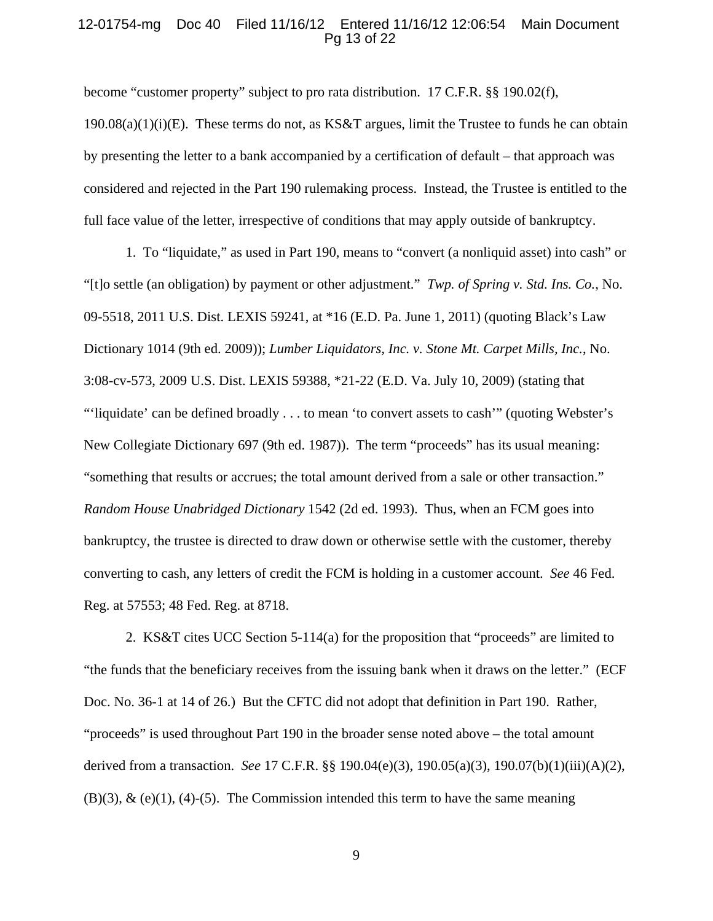## 12-01754-mg Doc 40 Filed 11/16/12 Entered 11/16/12 12:06:54 Main Document Pg 13 of 22

become "customer property" subject to pro rata distribution. 17 C.F.R. §§ 190.02(f),

 $190.08(a)(1)(i)(E)$ . These terms do not, as KS&T argues, limit the Trustee to funds he can obtain by presenting the letter to a bank accompanied by a certification of default – that approach was considered and rejected in the Part 190 rulemaking process. Instead, the Trustee is entitled to the full face value of the letter, irrespective of conditions that may apply outside of bankruptcy.

1. To "liquidate," as used in Part 190, means to "convert (a nonliquid asset) into cash" or "[t]o settle (an obligation) by payment or other adjustment." *Twp. of Spring v. Std. Ins. Co.*, No. 09-5518, 2011 U.S. Dist. LEXIS 59241, at \*16 (E.D. Pa. June 1, 2011) (quoting Black's Law Dictionary 1014 (9th ed. 2009)); *Lumber Liquidators, Inc. v. Stone Mt. Carpet Mills, Inc.*, No. 3:08-cv-573, 2009 U.S. Dist. LEXIS 59388, \*21-22 (E.D. Va. July 10, 2009) (stating that "'liquidate' can be defined broadly . . . to mean 'to convert assets to cash'" (quoting Webster's New Collegiate Dictionary 697 (9th ed. 1987)). The term "proceeds" has its usual meaning: "something that results or accrues; the total amount derived from a sale or other transaction." *Random House Unabridged Dictionary* 1542 (2d ed. 1993). Thus, when an FCM goes into bankruptcy, the trustee is directed to draw down or otherwise settle with the customer, thereby converting to cash, any letters of credit the FCM is holding in a customer account. *See* 46 Fed. Reg. at 57553; 48 Fed. Reg. at 8718.

2. KS&T cites UCC Section 5-114(a) for the proposition that "proceeds" are limited to "the funds that the beneficiary receives from the issuing bank when it draws on the letter." (ECF Doc. No. 36-1 at 14 of 26.) But the CFTC did not adopt that definition in Part 190. Rather, "proceeds" is used throughout Part 190 in the broader sense noted above – the total amount derived from a transaction. *See* 17 C.F.R. §§ 190.04(e)(3), 190.05(a)(3), 190.07(b)(1)(iii)(A)(2),  $(B)(3)$ ,  $\&$  (e)(1), (4)-(5). The Commission intended this term to have the same meaning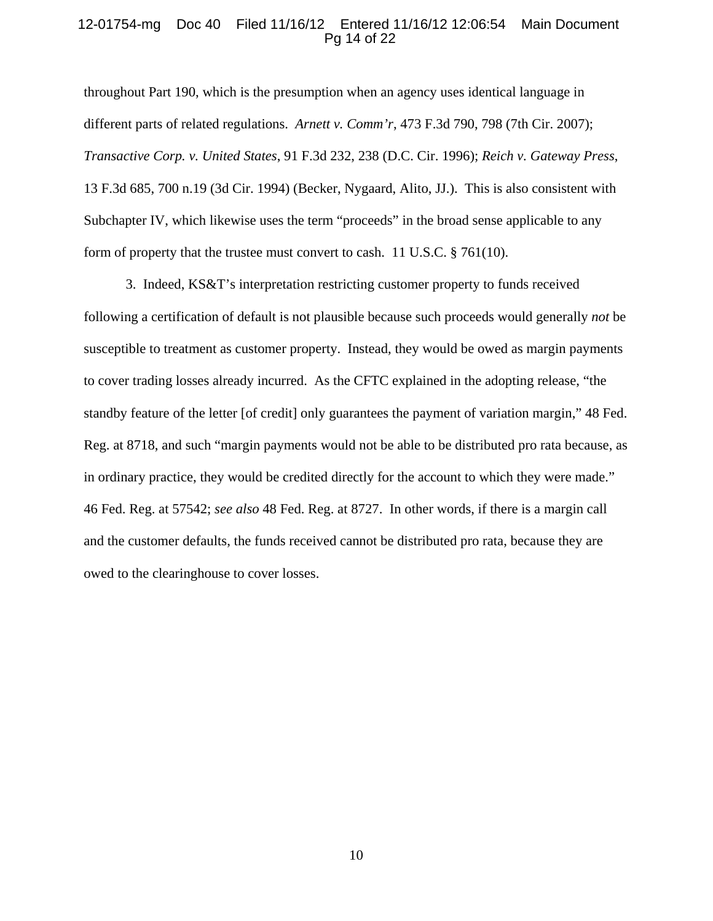## 12-01754-mg Doc 40 Filed 11/16/12 Entered 11/16/12 12:06:54 Main Document Pg 14 of 22

throughout Part 190, which is the presumption when an agency uses identical language in different parts of related regulations. *Arnett v. Comm'r*, 473 F.3d 790, 798 (7th Cir. 2007); *Transactive Corp. v. United States*, 91 F.3d 232, 238 (D.C. Cir. 1996); *Reich v. Gateway Press*, 13 F.3d 685, 700 n.19 (3d Cir. 1994) (Becker, Nygaard, Alito, JJ.). This is also consistent with Subchapter IV, which likewise uses the term "proceeds" in the broad sense applicable to any form of property that the trustee must convert to cash. 11 U.S.C. § 761(10).

3. Indeed, KS&T's interpretation restricting customer property to funds received following a certification of default is not plausible because such proceeds would generally *not* be susceptible to treatment as customer property. Instead, they would be owed as margin payments to cover trading losses already incurred. As the CFTC explained in the adopting release, "the standby feature of the letter [of credit] only guarantees the payment of variation margin," 48 Fed. Reg. at 8718, and such "margin payments would not be able to be distributed pro rata because, as in ordinary practice, they would be credited directly for the account to which they were made." 46 Fed. Reg. at 57542; *see also* 48 Fed. Reg. at 8727. In other words, if there is a margin call and the customer defaults, the funds received cannot be distributed pro rata, because they are owed to the clearinghouse to cover losses.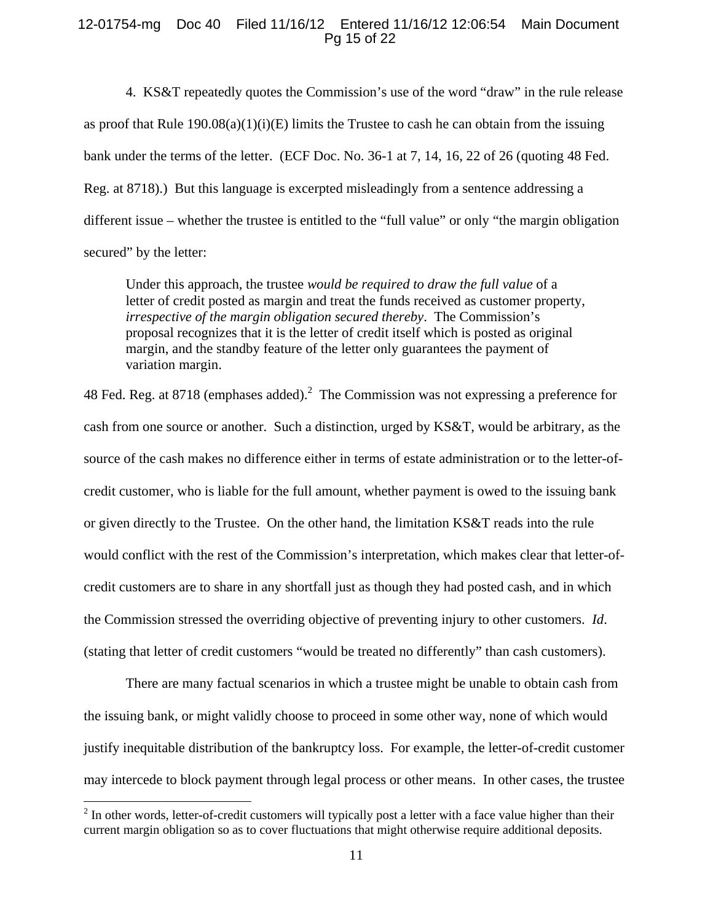## 12-01754-mg Doc 40 Filed 11/16/12 Entered 11/16/12 12:06:54 Main Document Pg 15 of 22

4. KS&T repeatedly quotes the Commission's use of the word "draw" in the rule release as proof that Rule  $190.08(a)(1)(i)(E)$  limits the Trustee to cash he can obtain from the issuing bank under the terms of the letter. (ECF Doc. No. 36-1 at 7, 14, 16, 22 of 26 (quoting 48 Fed. Reg. at 8718).) But this language is excerpted misleadingly from a sentence addressing a different issue – whether the trustee is entitled to the "full value" or only "the margin obligation secured" by the letter:

Under this approach, the trustee *would be required to draw the full value* of a letter of credit posted as margin and treat the funds received as customer property, *irrespective of the margin obligation secured thereby*. The Commission's proposal recognizes that it is the letter of credit itself which is posted as original margin, and the standby feature of the letter only guarantees the payment of variation margin.

48 Fed. Reg. at 8718 (emphases added). The Commission was not expressing a preference for cash from one source or another. Such a distinction, urged by KS&T, would be arbitrary, as the source of the cash makes no difference either in terms of estate administration or to the letter-ofcredit customer, who is liable for the full amount, whether payment is owed to the issuing bank or given directly to the Trustee. On the other hand, the limitation KS&T reads into the rule would conflict with the rest of the Commission's interpretation, which makes clear that letter-ofcredit customers are to share in any shortfall just as though they had posted cash, and in which the Commission stressed the overriding objective of preventing injury to other customers. *Id*. (stating that letter of credit customers "would be treated no differently" than cash customers).

 There are many factual scenarios in which a trustee might be unable to obtain cash from the issuing bank, or might validly choose to proceed in some other way, none of which would justify inequitable distribution of the bankruptcy loss. For example, the letter-of-credit customer may intercede to block payment through legal process or other means. In other cases, the trustee

<sup>&</sup>lt;sup>2</sup> In other words, letter-of-credit customers will typically post a letter with a face value higher than their current margin obligation so as to cover fluctuations that might otherwise require additional deposits.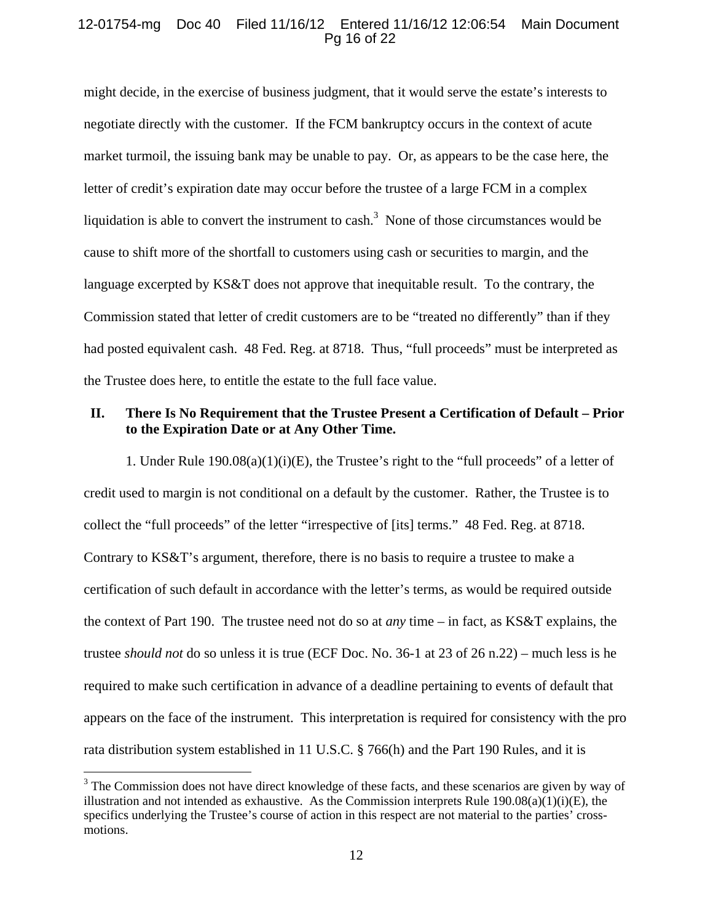## 12-01754-mg Doc 40 Filed 11/16/12 Entered 11/16/12 12:06:54 Main Document Pg 16 of 22

might decide, in the exercise of business judgment, that it would serve the estate's interests to negotiate directly with the customer. If the FCM bankruptcy occurs in the context of acute market turmoil, the issuing bank may be unable to pay. Or, as appears to be the case here, the letter of credit's expiration date may occur before the trustee of a large FCM in a complex liquidation is able to convert the instrument to cash.<sup>3</sup> None of those circumstances would be cause to shift more of the shortfall to customers using cash or securities to margin, and the language excerpted by KS&T does not approve that inequitable result. To the contrary, the Commission stated that letter of credit customers are to be "treated no differently" than if they had posted equivalent cash. 48 Fed. Reg. at 8718. Thus, "full proceeds" must be interpreted as the Trustee does here, to entitle the estate to the full face value.

# **II. There Is No Requirement that the Trustee Present a Certification of Default – Prior to the Expiration Date or at Any Other Time.**

1. Under Rule  $190.08(a)(1)(i)(E)$ , the Trustee's right to the "full proceeds" of a letter of credit used to margin is not conditional on a default by the customer. Rather, the Trustee is to collect the "full proceeds" of the letter "irrespective of [its] terms." 48 Fed. Reg. at 8718. Contrary to KS&T's argument, therefore, there is no basis to require a trustee to make a certification of such default in accordance with the letter's terms, as would be required outside the context of Part 190. The trustee need not do so at *any* time – in fact, as KS&T explains, the trustee *should not* do so unless it is true (ECF Doc. No. 36-1 at 23 of 26 n.22) – much less is he required to make such certification in advance of a deadline pertaining to events of default that appears on the face of the instrument. This interpretation is required for consistency with the pro rata distribution system established in 11 U.S.C. § 766(h) and the Part 190 Rules, and it is

 $\overline{a}$ 

<sup>&</sup>lt;sup>3</sup> The Commission does not have direct knowledge of these facts, and these scenarios are given by way of illustration and not intended as exhaustive. As the Commission interprets Rule  $190.08(a)(1)(i)(E)$ , the specifics underlying the Trustee's course of action in this respect are not material to the parties' crossmotions.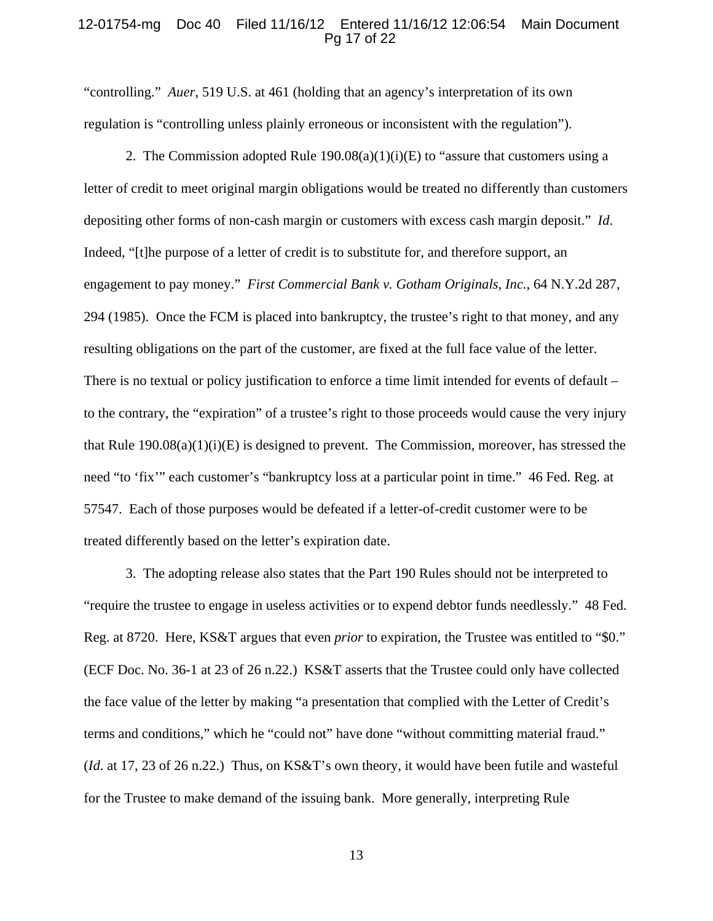#### 12-01754-mg Doc 40 Filed 11/16/12 Entered 11/16/12 12:06:54 Main Document Pg 17 of 22

"controlling." *Auer*, 519 U.S. at 461 (holding that an agency's interpretation of its own regulation is "controlling unless plainly erroneous or inconsistent with the regulation").

2. The Commission adopted Rule  $190.08(a)(1)(i)(E)$  to "assure that customers using a letter of credit to meet original margin obligations would be treated no differently than customers depositing other forms of non-cash margin or customers with excess cash margin deposit." *Id*. Indeed, "[t]he purpose of a letter of credit is to substitute for, and therefore support, an engagement to pay money." *First Commercial Bank v. Gotham Originals, Inc.*, 64 N.Y.2d 287, 294 (1985). Once the FCM is placed into bankruptcy, the trustee's right to that money, and any resulting obligations on the part of the customer, are fixed at the full face value of the letter. There is no textual or policy justification to enforce a time limit intended for events of default – to the contrary, the "expiration" of a trustee's right to those proceeds would cause the very injury that Rule  $190.08(a)(1)(i)(E)$  is designed to prevent. The Commission, moreover, has stressed the need "to 'fix'" each customer's "bankruptcy loss at a particular point in time." 46 Fed. Reg. at 57547. Each of those purposes would be defeated if a letter-of-credit customer were to be treated differently based on the letter's expiration date.

 3. The adopting release also states that the Part 190 Rules should not be interpreted to "require the trustee to engage in useless activities or to expend debtor funds needlessly." 48 Fed. Reg. at 8720. Here, KS&T argues that even *prior* to expiration, the Trustee was entitled to "\$0." (ECF Doc. No. 36-1 at 23 of 26 n.22.) KS&T asserts that the Trustee could only have collected the face value of the letter by making "a presentation that complied with the Letter of Credit's terms and conditions," which he "could not" have done "without committing material fraud." (*Id*. at 17, 23 of 26 n.22.) Thus, on KS&T's own theory, it would have been futile and wasteful for the Trustee to make demand of the issuing bank. More generally, interpreting Rule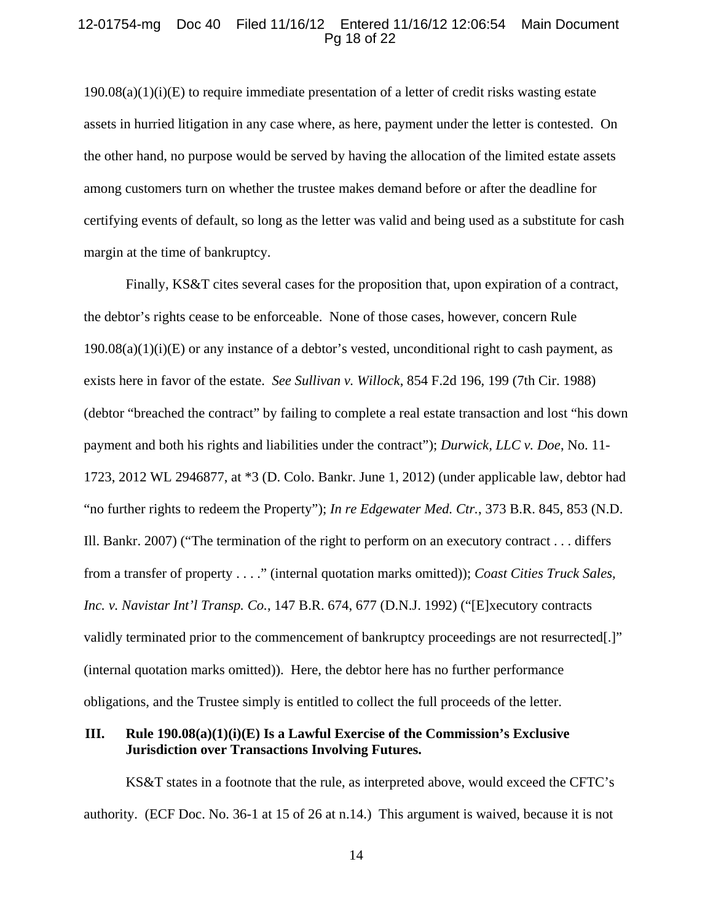## 12-01754-mg Doc 40 Filed 11/16/12 Entered 11/16/12 12:06:54 Main Document Pg 18 of 22

 $190.08(a)(1)(i)(E)$  to require immediate presentation of a letter of credit risks wasting estate assets in hurried litigation in any case where, as here, payment under the letter is contested. On the other hand, no purpose would be served by having the allocation of the limited estate assets among customers turn on whether the trustee makes demand before or after the deadline for certifying events of default, so long as the letter was valid and being used as a substitute for cash margin at the time of bankruptcy.

Finally, KS&T cites several cases for the proposition that, upon expiration of a contract, the debtor's rights cease to be enforceable. None of those cases, however, concern Rule  $190.08(a)(1)(i)(E)$  or any instance of a debtor's vested, unconditional right to cash payment, as exists here in favor of the estate. *See Sullivan v. Willock*, 854 F.2d 196, 199 (7th Cir. 1988) (debtor "breached the contract" by failing to complete a real estate transaction and lost "his down payment and both his rights and liabilities under the contract"); *Durwick, LLC v. Doe*, No. 11- 1723, 2012 WL 2946877, at \*3 (D. Colo. Bankr. June 1, 2012) (under applicable law, debtor had "no further rights to redeem the Property"); *In re Edgewater Med. Ctr.*, 373 B.R. 845, 853 (N.D. Ill. Bankr. 2007) ("The termination of the right to perform on an executory contract . . . differs from a transfer of property . . . ." (internal quotation marks omitted)); *Coast Cities Truck Sales, Inc. v. Navistar Int'l Transp. Co.*, 147 B.R. 674, 677 (D.N.J. 1992) ("[E]xecutory contracts validly terminated prior to the commencement of bankruptcy proceedings are not resurrected[.]" (internal quotation marks omitted)). Here, the debtor here has no further performance obligations, and the Trustee simply is entitled to collect the full proceeds of the letter.

# **III. Rule 190.08(a)(1)(i)(E) Is a Lawful Exercise of the Commission's Exclusive Jurisdiction over Transactions Involving Futures.**

KS&T states in a footnote that the rule, as interpreted above, would exceed the CFTC's authority. (ECF Doc. No. 36-1 at 15 of 26 at n.14.) This argument is waived, because it is not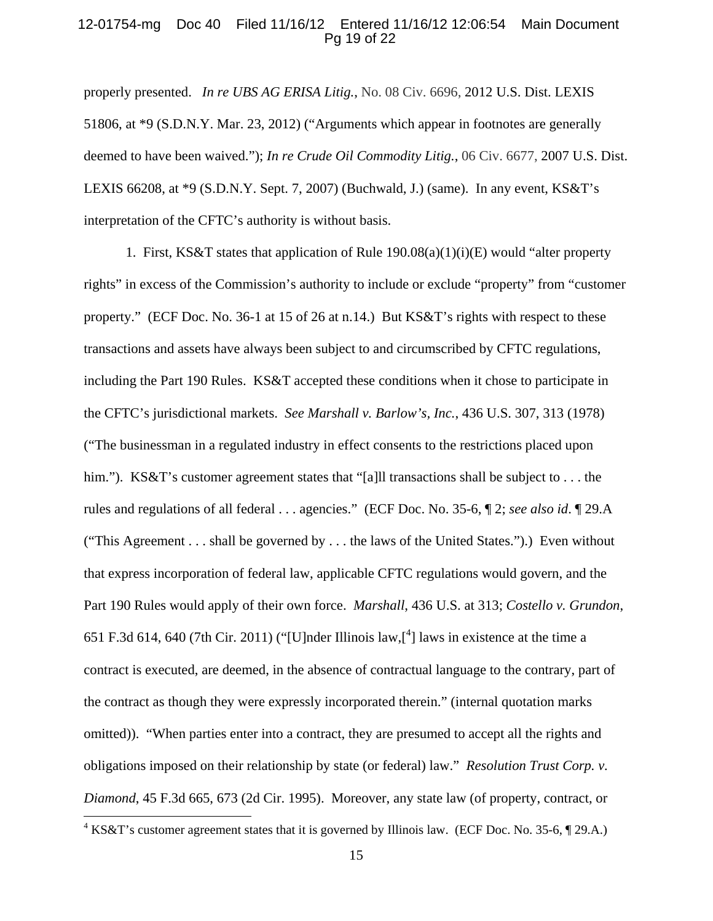## 12-01754-mg Doc 40 Filed 11/16/12 Entered 11/16/12 12:06:54 Main Document Pg 19 of 22

properly presented. *In re UBS AG ERISA Litig.*, No. 08 Civ. 6696, 2012 U.S. Dist. LEXIS 51806, at \*9 (S.D.N.Y. Mar. 23, 2012) ("Arguments which appear in footnotes are generally deemed to have been waived."); *In re Crude Oil Commodity Litig.*, 06 Civ. 6677, 2007 U.S. Dist. LEXIS 66208, at \*9 (S.D.N.Y. Sept. 7, 2007) (Buchwald, J.) (same). In any event, KS&T's interpretation of the CFTC's authority is without basis.

1. First, KS&T states that application of Rule  $190.08(a)(1)(i)(E)$  would "alter property rights" in excess of the Commission's authority to include or exclude "property" from "customer property." (ECF Doc. No. 36-1 at 15 of 26 at n.14.) But KS&T's rights with respect to these transactions and assets have always been subject to and circumscribed by CFTC regulations, including the Part 190 Rules. KS&T accepted these conditions when it chose to participate in the CFTC's jurisdictional markets. *See Marshall v. Barlow's, Inc.*, 436 U.S. 307, 313 (1978) ("The businessman in a regulated industry in effect consents to the restrictions placed upon him."). KS&T's customer agreement states that "[a]ll transactions shall be subject to . . . the rules and regulations of all federal . . . agencies." (ECF Doc. No. 35-6, ¶ 2; *see also id*. ¶ 29.A ("This Agreement . . . shall be governed by . . . the laws of the United States.").) Even without that express incorporation of federal law, applicable CFTC regulations would govern, and the Part 190 Rules would apply of their own force. *Marshall*, 436 U.S. at 313; *Costello v. Grundon*, 651 F.3d 614, 640 (7th Cir. 2011) ("[U]nder Illinois law, $\begin{bmatrix} 4 \end{bmatrix}$  laws in existence at the time a contract is executed, are deemed, in the absence of contractual language to the contrary, part of the contract as though they were expressly incorporated therein." (internal quotation marks omitted)). "When parties enter into a contract, they are presumed to accept all the rights and obligations imposed on their relationship by state (or federal) law." *Resolution Trust Corp. v. Diamond*, 45 F.3d 665, 673 (2d Cir. 1995). Moreover, any state law (of property, contract, or  $\overline{a}$ 

 $4 KS\&T$ 's customer agreement states that it is governed by Illinois law. (ECF Doc. No. 35-6,  $\llbracket$  29.A.)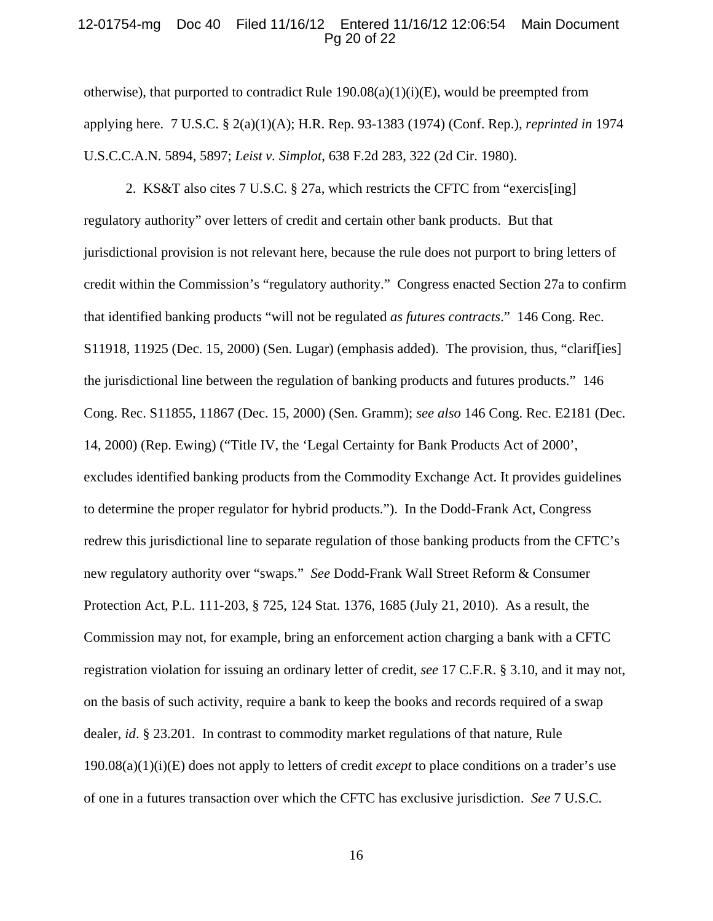## 12-01754-mg Doc 40 Filed 11/16/12 Entered 11/16/12 12:06:54 Main Document Pg 20 of 22

otherwise), that purported to contradict Rule  $190.08(a)(1)(i)(E)$ , would be preempted from applying here. 7 U.S.C. § 2(a)(1)(A); H.R. Rep. 93-1383 (1974) (Conf. Rep.), *reprinted in* 1974 U.S.C.C.A.N. 5894, 5897; *Leist v. Simplot*, 638 F.2d 283, 322 (2d Cir. 1980).

2. KS&T also cites 7 U.S.C. § 27a, which restricts the CFTC from "exercis[ing] regulatory authority" over letters of credit and certain other bank products. But that jurisdictional provision is not relevant here, because the rule does not purport to bring letters of credit within the Commission's "regulatory authority." Congress enacted Section 27a to confirm that identified banking products "will not be regulated *as futures contracts*." 146 Cong. Rec. S11918, 11925 (Dec. 15, 2000) (Sen. Lugar) (emphasis added). The provision, thus, "clarif[ies] the jurisdictional line between the regulation of banking products and futures products." 146 Cong. Rec. S11855, 11867 (Dec. 15, 2000) (Sen. Gramm); *see also* 146 Cong. Rec. E2181 (Dec. 14, 2000) (Rep. Ewing) ("Title IV, the 'Legal Certainty for Bank Products Act of 2000', excludes identified banking products from the Commodity Exchange Act. It provides guidelines to determine the proper regulator for hybrid products."). In the Dodd-Frank Act, Congress redrew this jurisdictional line to separate regulation of those banking products from the CFTC's new regulatory authority over "swaps." *See* Dodd-Frank Wall Street Reform & Consumer Protection Act, P.L. 111-203, § 725, 124 Stat. 1376, 1685 (July 21, 2010). As a result, the Commission may not, for example, bring an enforcement action charging a bank with a CFTC registration violation for issuing an ordinary letter of credit, *see* 17 C.F.R. § 3.10, and it may not, on the basis of such activity, require a bank to keep the books and records required of a swap dealer, *id*. § 23.201. In contrast to commodity market regulations of that nature, Rule 190.08(a)(1)(i)(E) does not apply to letters of credit *except* to place conditions on a trader's use of one in a futures transaction over which the CFTC has exclusive jurisdiction. *See* 7 U.S.C.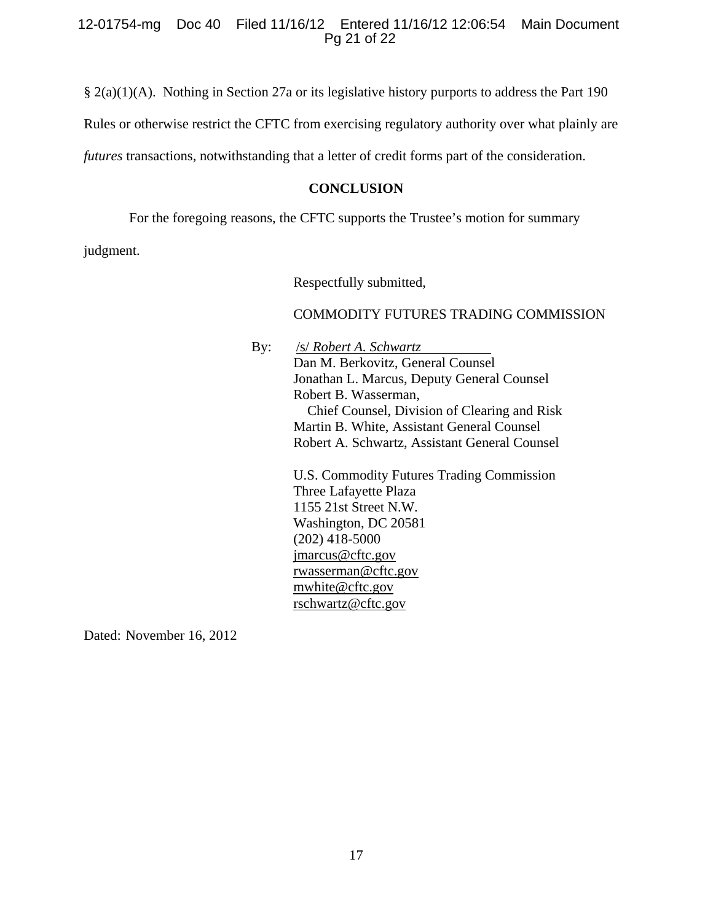# 12-01754-mg Doc 40 Filed 11/16/12 Entered 11/16/12 12:06:54 Main Document Pg 21 of 22

§ 2(a)(1)(A). Nothing in Section 27a or its legislative history purports to address the Part 190

Rules or otherwise restrict the CFTC from exercising regulatory authority over what plainly are

*futures* transactions, notwithstanding that a letter of credit forms part of the consideration.

# **CONCLUSION**

For the foregoing reasons, the CFTC supports the Trustee's motion for summary

judgment.

Respectfully submitted,

# COMMODITY FUTURES TRADING COMMISSION

By: /s/ *Robert A. Schwartz* Dan M. Berkovitz, General Counsel Jonathan L. Marcus, Deputy General Counsel Robert B. Wasserman, Chief Counsel, Division of Clearing and Risk Martin B. White, Assistant General Counsel Robert A. Schwartz, Assistant General Counsel

> U.S. Commodity Futures Trading Commission Three Lafayette Plaza 1155 21st Street N.W. Washington, DC 20581 (202) 418-5000 jmarcus@cftc.gov rwasserman@cftc.gov mwhite@cftc.gov rschwartz@cftc.gov

Dated: November 16, 2012